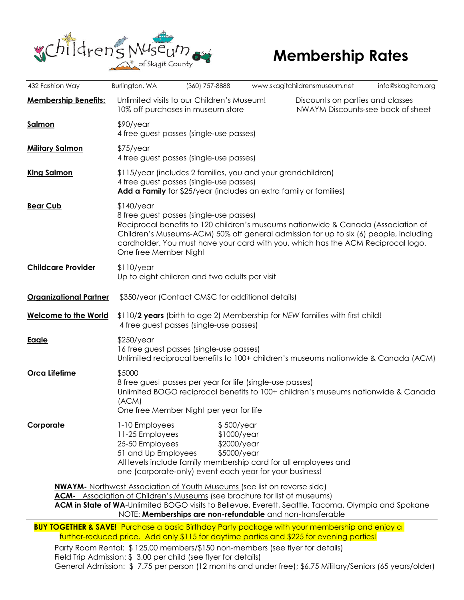

| 432 Fashion Way                                                                                                                                                                                                                                                                                                                         | Burlington, WA                                                                                                                                                                                                                                                                                                                                     | (360) 757-8888                                                                                                                                   |                                             | www.skagitchildrensmuseum.net                                                                             | info@skagitcm.org |
|-----------------------------------------------------------------------------------------------------------------------------------------------------------------------------------------------------------------------------------------------------------------------------------------------------------------------------------------|----------------------------------------------------------------------------------------------------------------------------------------------------------------------------------------------------------------------------------------------------------------------------------------------------------------------------------------------------|--------------------------------------------------------------------------------------------------------------------------------------------------|---------------------------------------------|-----------------------------------------------------------------------------------------------------------|-------------------|
| <b>Membership Benefits:</b>                                                                                                                                                                                                                                                                                                             |                                                                                                                                                                                                                                                                                                                                                    | Unlimited visits to our Children's Museum!<br>10% off purchases in museum store                                                                  |                                             | Discounts on parties and classes<br>NWAYM Discounts-see back of sheet                                     |                   |
| <b>Salmon</b>                                                                                                                                                                                                                                                                                                                           | $$90$ /year<br>4 free guest passes (single-use passes)                                                                                                                                                                                                                                                                                             |                                                                                                                                                  |                                             |                                                                                                           |                   |
| <b>Military Salmon</b>                                                                                                                                                                                                                                                                                                                  | $$75$ /year<br>4 free guest passes (single-use passes)                                                                                                                                                                                                                                                                                             |                                                                                                                                                  |                                             |                                                                                                           |                   |
| <b>King Salmon</b>                                                                                                                                                                                                                                                                                                                      | \$115/year (includes 2 families, you and your grandchildren)<br>4 free guest passes (single-use passes)<br>Add a Family for \$25/year (includes an extra family or families)                                                                                                                                                                       |                                                                                                                                                  |                                             |                                                                                                           |                   |
| <b>Bear Cub</b>                                                                                                                                                                                                                                                                                                                         | $$140$ /year<br>8 free guest passes (single-use passes)<br>Reciprocal benefits to 120 children's museums nationwide & Canada (Association of<br>Children's Museums-ACM) 50% off general admission for up to six (6) people, including<br>cardholder. You must have your card with you, which has the ACM Reciprocal logo.<br>One free Member Night |                                                                                                                                                  |                                             |                                                                                                           |                   |
| <b>Childcare Provider</b>                                                                                                                                                                                                                                                                                                               | \$110/year<br>Up to eight children and two adults per visit                                                                                                                                                                                                                                                                                        |                                                                                                                                                  |                                             |                                                                                                           |                   |
| <b>Organizational Partner</b>                                                                                                                                                                                                                                                                                                           | \$350/year (Contact CMSC for additional details)                                                                                                                                                                                                                                                                                                   |                                                                                                                                                  |                                             |                                                                                                           |                   |
| <b>Welcome to the World</b>                                                                                                                                                                                                                                                                                                             | \$110/2 years (birth to age 2) Membership for NEW families with first child!<br>4 free guest passes (single-use passes)                                                                                                                                                                                                                            |                                                                                                                                                  |                                             |                                                                                                           |                   |
| <u>Eagle</u>                                                                                                                                                                                                                                                                                                                            | $$250$ /year<br>16 free guest passes (single-use passes)<br>Unlimited reciprocal benefits to 100+ children's museums nationwide & Canada (ACM)                                                                                                                                                                                                     |                                                                                                                                                  |                                             |                                                                                                           |                   |
| Orca Lifetime                                                                                                                                                                                                                                                                                                                           | \$5000<br>8 free guest passes per year for life (single-use passes)<br>Unlimited BOGO reciprocal benefits to 100+ children's museums nationwide & Canada<br>(ACM)<br>One free Member Night per year for life                                                                                                                                       |                                                                                                                                                  |                                             |                                                                                                           |                   |
| <b>Corporate</b>                                                                                                                                                                                                                                                                                                                        | 1-10 Employees<br>11-25 Employees<br>25-50 Employees<br>51 and Up Employees                                                                                                                                                                                                                                                                        | \$500/year<br>All levels include family membership card for all employees and<br>one (corporate-only) event each year for your business!         | $$1000$ /year<br>\$2000/year<br>\$5000/year |                                                                                                           |                   |
| <b>NWAYM-</b> Northwest Association of Youth Museums (see list on reverse side)<br><b>ACM-</b> Association of Children's Museums (see brochure for list of museums)<br>ACM in State of WA-Unlimited BOGO visits to Bellevue, Everett, Seattle, Tacoma, Olympia and Spokane<br>NOTE: Memberships are non-refundable and non-transferable |                                                                                                                                                                                                                                                                                                                                                    |                                                                                                                                                  |                                             |                                                                                                           |                   |
| <b>BUY TOGETHER &amp; SAVE!</b> Purchase a basic Birthday Party package with your membership and enjoy a<br>further-reduced price. Add only \$115 for daytime parties and \$225 for evening parties!                                                                                                                                    |                                                                                                                                                                                                                                                                                                                                                    |                                                                                                                                                  |                                             |                                                                                                           |                   |
|                                                                                                                                                                                                                                                                                                                                         |                                                                                                                                                                                                                                                                                                                                                    | Party Room Rental: \$125.00 members/\$150 non-members (see flyer for details)<br>Field Trip Admission: \$ 3.00 per child (see flyer for details) |                                             | General Admission: \$7.75 per person (12 months and under free); \$6.75 Military/Seniors (65 years/older) |                   |